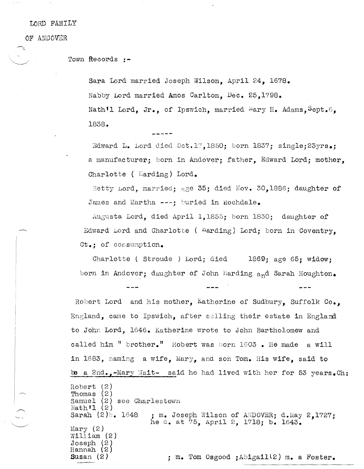tORD FAMILY

OF ANDOVER

Town Records **:-**

Sara Lord married Joseph Wilson, April 24, 1678. Nabby Lord married Amos Carlton, Dec. 25,1798. Nath'l Lord, Jr., of Ipswich, married  $\text{Mary H. Adams, Sept.6}$ 1838.

Edward L. Lord died Oct.17,1850; born 1837; single:23 $yrs$ .; a manufacturer; born in Andover; father, Edward Lord; mother, Charlotte ( Harding) Lord.

Betty Lord, married; age 35; died Nov. 30,1886; daughter of James and Martha ---; buried in Rochdale.

Augusta Lord, died April 1,1855; born 1830; daughter of Edward Lord and Charlotte (  $Harding$ ) Lord; born in Coventry,  $Ct_{\bullet}$ ; of consumption.

Charlotte ( Stroude ) Lord; died 1869; age 65; widow; born in Andover; daughter of John Harding and Sarah Houghton.

Robert Lord and his mother, Katherine of Sudbury, Suffolk Co., England, came to Ipswich, after selling their estate in England to John Lord, 1646. Katherine wrote to John Bartholomew and called him " brother." Robert was born 1603. He made a will in  $1683$ , naming a wife, Mary, and son Tom. His wife, said to be a 2nd.,-Mary Wait- said he had lived with her for 53 years.  $Ch:$ 

Robert (2) Thomas (2) Samuel (2) see Charlestown  $Nath'1(2)$ Sarah  $(2)$ . 1648  $Mary (2)$  $W111$ iam (2) Joseph (2) Hannah (2) Susan (2) ; m. Joseph Wilson of ANDOVER; d.May 2.1727; he d. at 75, April 2, 1718; b. 1643. ; m. Tom Osgood jAbigaill2) m. a Foster.